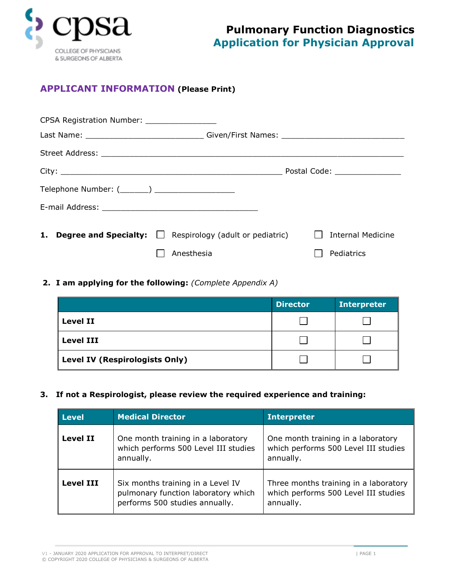

## **APPLICANT INFORMATION (Please Print)**

| CPSA Registration Number: __________________                     |                                |
|------------------------------------------------------------------|--------------------------------|
|                                                                  |                                |
|                                                                  |                                |
|                                                                  | Postal Code: _________________ |
| Telephone Number: (_______) ______________________               |                                |
|                                                                  |                                |
| <b>1. Degree and Specialty:</b> Sespirology (adult or pediatric) | Internal Medicine              |
| Anesthesia                                                       | Pediatrics                     |

**2. I am applying for the following:** *(Complete Appendix A)*

|                                | <b>Director</b> | <b>Interpreter</b> |
|--------------------------------|-----------------|--------------------|
| <b>Level II</b>                |                 |                    |
| <b>Level III</b>               |                 |                    |
| Level IV (Respirologists Only) |                 |                    |

**3. If not a Respirologist, please review the required experience and training:**

| <b>Level</b>     | <b>Medical Director</b>                                                                                    | <b>Interpreter</b>                                                                         |
|------------------|------------------------------------------------------------------------------------------------------------|--------------------------------------------------------------------------------------------|
| <b>Level II</b>  | One month training in a laboratory<br>which performs 500 Level III studies<br>annually.                    | One month training in a laboratory<br>which performs 500 Level III studies<br>annually.    |
| <b>Level III</b> | Six months training in a Level IV<br>pulmonary function laboratory which<br>performs 500 studies annually. | Three months training in a laboratory<br>which performs 500 Level III studies<br>annually. |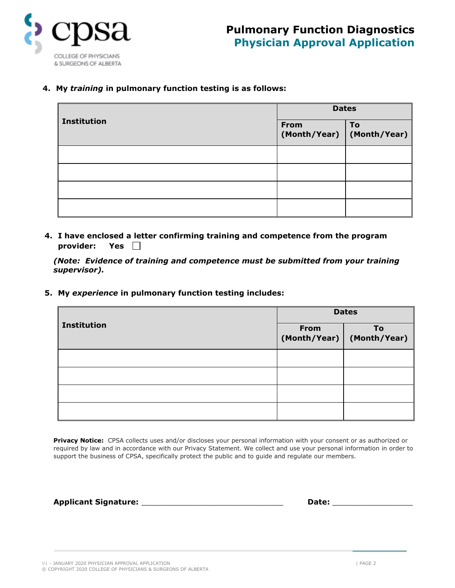

**4. My** *training* **in pulmonary function testing is as follows:**

| <b>Institution</b> | <b>Dates</b>                        |    |
|--------------------|-------------------------------------|----|
|                    | From<br>(Month/Year)   (Month/Year) | To |
|                    |                                     |    |
|                    |                                     |    |
|                    |                                     |    |
|                    |                                     |    |

**4. I have enclosed a letter confirming training and competence from the program provider: Yes**

*(Note: Evidence of training and competence must be submitted from your training supervisor).*

**5. My** *experience* **in pulmonary function testing includes:**

| <b>Institution</b> | <b>Dates</b> |                                   |
|--------------------|--------------|-----------------------------------|
|                    | <b>From</b>  | To<br>(Month/Year)   (Month/Year) |
|                    |              |                                   |
|                    |              |                                   |
|                    |              |                                   |
|                    |              |                                   |

Privacy Notice: CPSA collects uses and/or discloses your personal information with your consent or as authorized or required by law and in accordance with our Privacy Statement. We collect and use your personal information in order to support the business of CPSA, specifically protect the public and to guide and regulate our members.

**Applicant Signature:** \_\_\_\_\_\_\_\_\_\_\_\_\_\_\_\_\_\_\_\_\_\_\_\_\_\_\_\_\_\_ **Date:** \_\_\_\_\_\_\_\_\_\_\_\_\_\_\_\_\_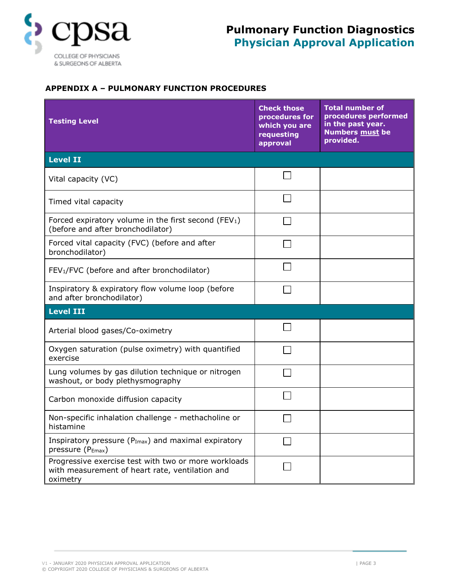

### **APPENDIX A – PULMONARY FUNCTION PROCEDURES**

| <b>Testing Level</b>                                                                                                | <b>Check those</b><br>procedures for<br>which you are<br>requesting<br>approval | <b>Total number of</b><br>procedures performed<br>in the past year.<br><b>Numbers must be</b><br>provided. |
|---------------------------------------------------------------------------------------------------------------------|---------------------------------------------------------------------------------|------------------------------------------------------------------------------------------------------------|
| <b>Level II</b>                                                                                                     |                                                                                 |                                                                                                            |
| Vital capacity (VC)                                                                                                 |                                                                                 |                                                                                                            |
| Timed vital capacity                                                                                                |                                                                                 |                                                                                                            |
| Forced expiratory volume in the first second (FEV <sub>1</sub> )<br>(before and after bronchodilator)               |                                                                                 |                                                                                                            |
| Forced vital capacity (FVC) (before and after<br>bronchodilator)                                                    |                                                                                 |                                                                                                            |
| FEV <sub>1</sub> /FVC (before and after bronchodilator)                                                             |                                                                                 |                                                                                                            |
| Inspiratory & expiratory flow volume loop (before<br>and after bronchodilator)                                      |                                                                                 |                                                                                                            |
| <b>Level III</b>                                                                                                    |                                                                                 |                                                                                                            |
| Arterial blood gases/Co-oximetry                                                                                    |                                                                                 |                                                                                                            |
| Oxygen saturation (pulse oximetry) with quantified<br>exercise                                                      |                                                                                 |                                                                                                            |
| Lung volumes by gas dilution technique or nitrogen<br>washout, or body plethysmography                              |                                                                                 |                                                                                                            |
| Carbon monoxide diffusion capacity                                                                                  |                                                                                 |                                                                                                            |
| Non-specific inhalation challenge - methacholine or<br>histamine                                                    |                                                                                 |                                                                                                            |
| Inspiratory pressure (P <sub>Imax</sub> ) and maximal expiratory<br>pressure (P <sub>Emax</sub> )                   |                                                                                 |                                                                                                            |
| Progressive exercise test with two or more workloads<br>with measurement of heart rate, ventilation and<br>oximetry |                                                                                 |                                                                                                            |